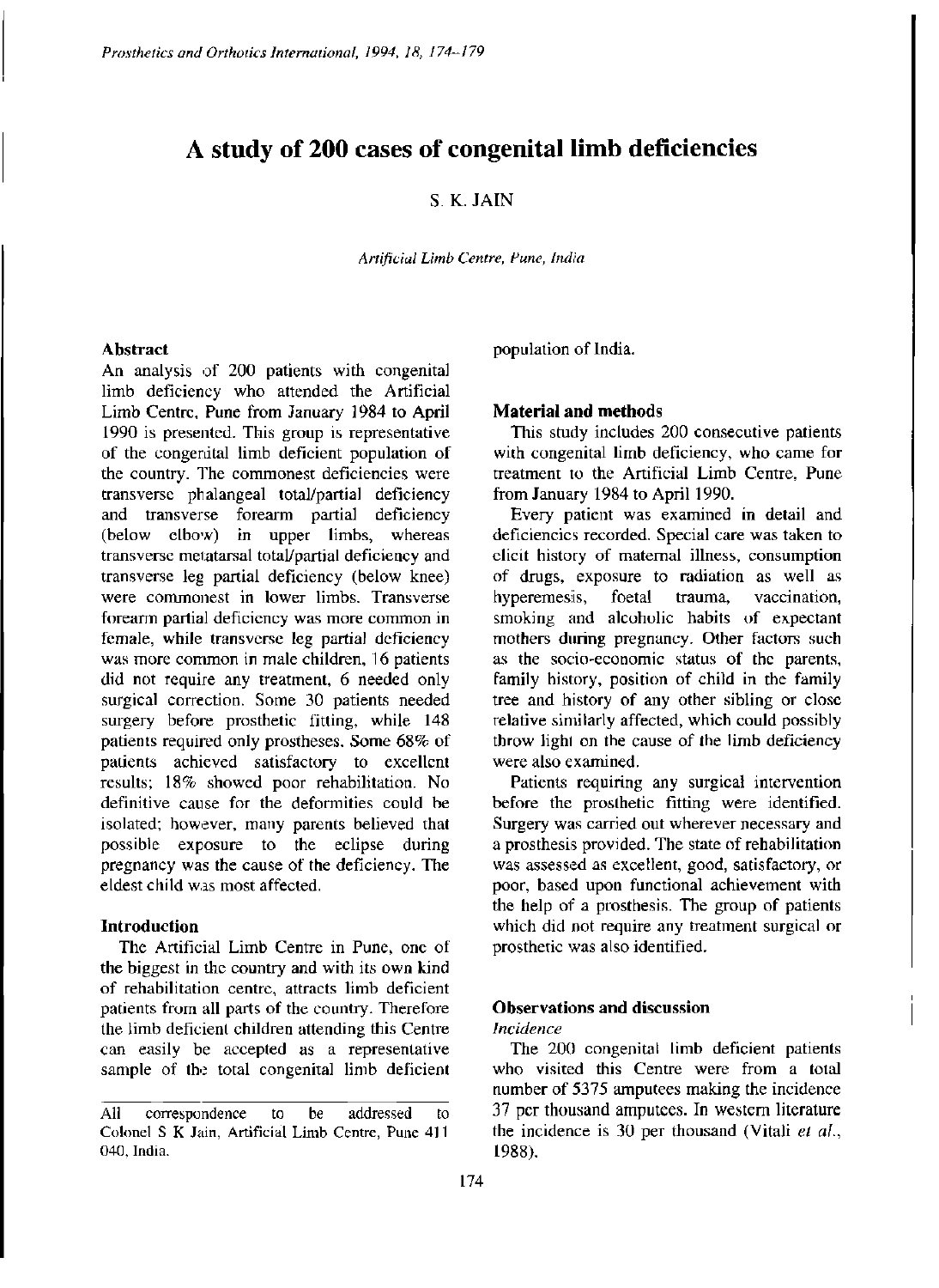# **A study of 200 cases of congenital limb deficiencies**

## S. K. JAIN

*Artificial Limb Centre, Pune, India* 

#### **Abstract**

An analysis of 200 patients with congenital limb deficiency who attended the Artificial Limb Centre, Pune from January 1984 to April 1990 is presented. This group is representative of the congenital limb deficient population of the country. The commonest deficiencies were transverse phalangeal total/partial deficiency and transverse forearm partial deficiency (below elbow) in upper limbs, whereas transverse metatarsal total/partial deficiency and transverse leg partial deficiency (below knee) were commonest in lower limbs. Transverse forearm partial deficiency was more common in female, while transverse leg partial deficiency was more common in male children, 16 patients did not require any treatment, 6 needed only surgical correction. Some 30 patients needed surgery before prosthetic fitting, while 148 patients required only prostheses. Some 68% of patients achieved satisfactory to excellent results; 18% showed poor rehabilitation. No definitive cause for the deformities could be isolated; however, many parents believed that possible exposure to the eclipse during pregnancy was the cause of the deficiency. The eldest child was most affected.

#### **Introduction**

The Artificial Limb Centre in Pune, one of the biggest in the country and with its own kind of rehabilitation centre, attracts limb deficient patients from all parts of the country. Therefore the limb deficient children attending this Centre can easily be accepted as a representative sample of the total congenital limb deficient population of India.

## **Material and methods**

This study includes 200 consecutive patients with congenital limb deficiency, who came for treatment to the Artificial Limb Centre, Pune from January 1984 to April 1990.

Every patient was examined in detail and deficiencies recorded. Special care was taken to elicit history of maternal illness, consumption of drugs, exposure to radiation as well as hyperemesis, foetal trauma, vaccination, smoking and alcoholic habits of expectant mothers during pregnancy. Other factors such as the socio-economic status of the parents, family history, position of child in the family tree and history of any other sibling or close relative similarly affected, which could possibly throw light on the cause of the limb deficiency were also examined.

Patients requiring any surgical intervention before the prosthetic fitting were identified. Surgery was carried out wherever necessary and a prosthesis provided. The state of rehabilitation was assessed as excellent, good, satisfactory, or poor, based upon functional achievement with the help of a prosthesis. The group of patients which did not require any treatment surgical or prosthetic was also identified.

## **Observations and discussion**

## *Incidence*

The 200 congenital limb deficient patients who visited this Centre were from a total number of 5375 amputees making the incidence 37 per thousand amputees. In western literature the incidence is 30 per thousand (Vitali *et al.,*  1988).

All correspondence to be addressed to Colonel S K Jain, Artificial Limb Centre, Pune 411 040, India.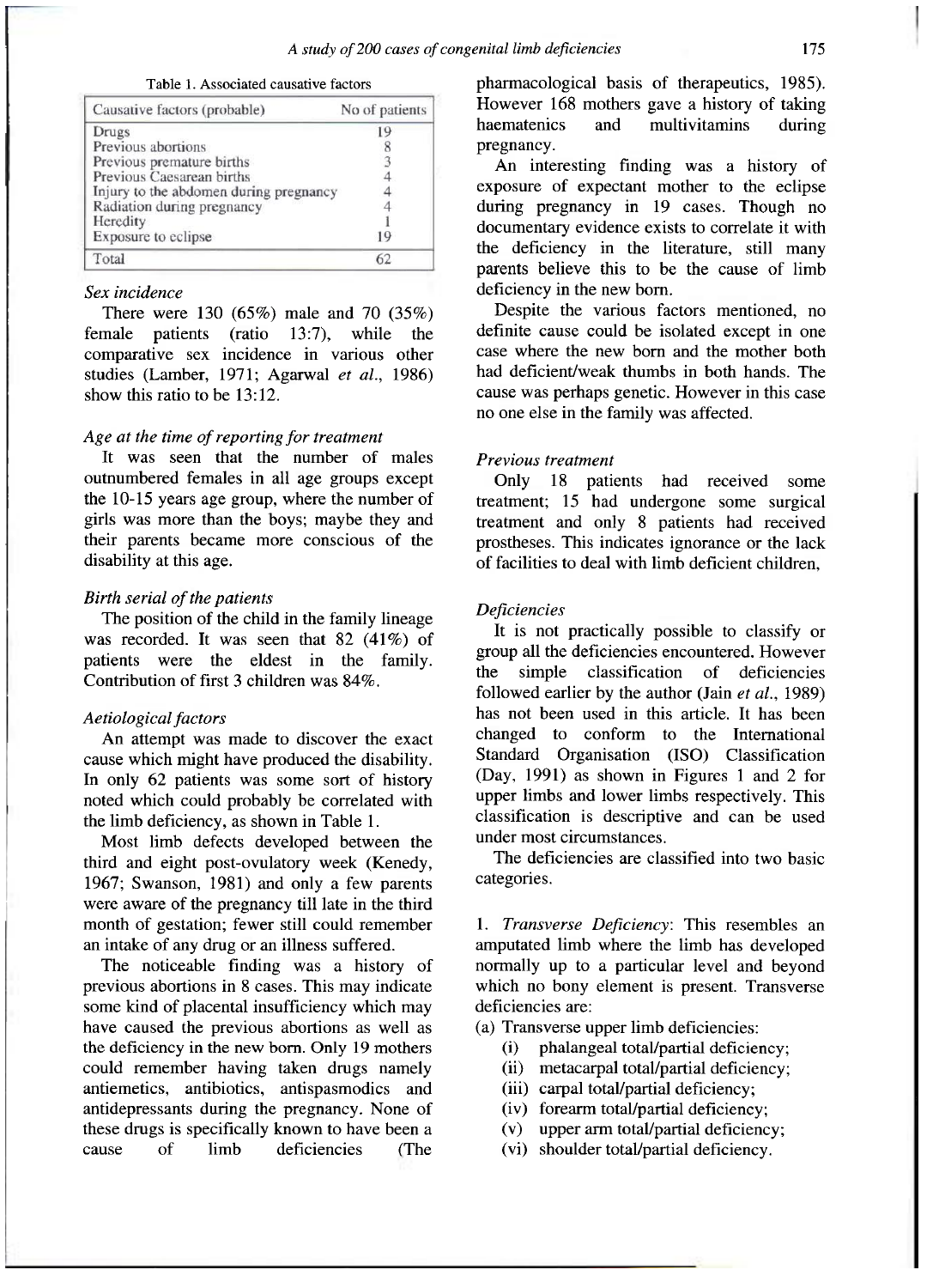Table 1. Associated causative factors

| Causative factors (probable)           | No of patients |
|----------------------------------------|----------------|
| Drugs                                  | 19             |
| Previous abortions                     | ð              |
| Previous premature births              |                |
| Previous Caesarean births              |                |
| Injury to the abdomen during pregnancy |                |
| Radiation during pregnancy             |                |
| Heredity                               |                |
| Exposure to eclipse                    | 19             |
| Total                                  | 62             |

## *Sex incidence*

There were 130 (65%) male and 70 (35%) female patients (ratio 13:7), while the comparative sex incidence in various other studies (Lamber, 1971; Agarwal *et al.,* 1986) show this ratio to be 13:12.

## *Age at the time of reporting for treatment*

It was seen that the number of males outnumbered females in all age groups except the 10-15 years age group, where the number of girls was more than the boys; maybe they and their parents became more conscious of the disability at this age.

#### *Birth serial of the patients*

The position of the child in the family lineage was recorded. It was seen that 82 (41%) of patients were the eldest in the family. Contribution of first 3 children was 84%.

## *Aetiological factors*

An attempt was made to discover the exact cause which might have produced the disability. In only 62 patients was some sort of history noted which could probably be correlated with the limb deficiency, as shown in Table 1.

Most limb defects developed between the third and eight post-ovulatory week (Kenedy, 1967; Swanson, 1981) and only a few parents were aware of the pregnancy till late in the third month of gestation; fewer still could remember an intake of any drug or an illness suffered.

The noticeable finding was a history of previous abortions in 8 cases. This may indicate some kind of placental insufficiency which may have caused the previous abortions as well as the deficiency in the new born. Only 19 mothers could remember having taken drugs namely antiemetics, antibiotics, antispasmodics and antidepressants during the pregnancy. None of these drugs is specifically known to have been a cause of limb deficiencies (The pharmacological basis of therapeutics, 1985). However 168 mothers gave a history of taking<br>haematenics and multivitamins during multivitamins during pregnancy.

An interesting finding was a history of exposure of expectant mother to the eclipse during pregnancy in 19 cases. Though no documentary evidence exists to correlate it with the deficiency in the literature, still many parents believe this to be the cause of limb deficiency in the new born.

Despite the various factors mentioned, no definite cause could be isolated except in one case where the new born and the mother both had deficient/weak thumbs in both hands. The cause was perhaps genetic. However in this case no one else in the family was affected.

## *Previous treatment*

Only 18 patients had received some treatment; 15 had undergone some surgical treatment and only 8 patients had received prostheses. This indicates ignorance or the lack of facilities to deal with limb deficient children,

#### *Deficiencies*

It is not practically possible to classify or group all the deficiencies encountered. However the simple classification of deficiencies followed earlier by the author (Jain *et al.,* 1989) has not been used in this article. It has been changed to conform to the International Standard Organisation (ISO) Classification (Day, 1991) as shown in Figures 1 and 2 for upper limbs and lower limbs respectively. This classification is descriptive and can be used under most circumstances.

The deficiencies are classified into two basic categories.

1. *Transverse Deficiency:* This resembles an amputated limb where the limb has developed normally up to a particular level and beyond which no bony element is present. Transverse deficiencies are:

(a) Transverse upper limb deficiencies:

- (i) phalangeal total/partial deficiency;
- (ii) metacarpal total/partial deficiency;
- (iii) carpal total/partial deficiency;
- (iv) forearm total/partial deficiency;
- (v) upper arm total/partial deficiency;
- (vi) shoulder total/partial deficiency.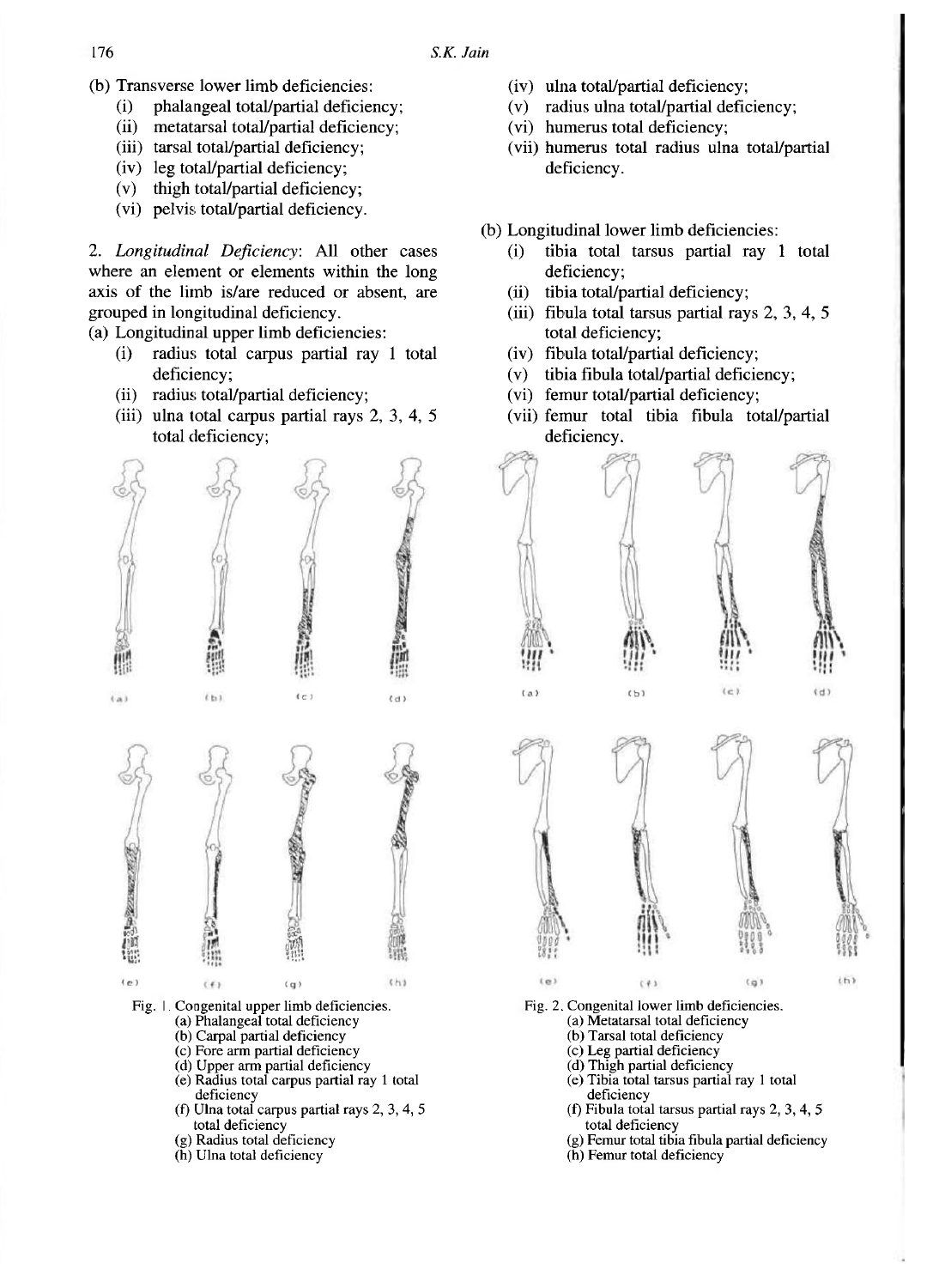- (b) Transverse lower limb deficiencies:
	- (i) phalangeal total/partial deficiency;
	- (ii) metatarsal total/partial deficiency;
	- (iii) tarsal total/partial deficiency;
	- (iv) leg total/partial deficiency;
	- (v) thigh total/partial deficiency;
	- (vi) pelvis total/partial deficiency.

2. *Longitudinal Deficiency:* All other cases where an element or elements within the long axis of the limb is/are reduced or absent, are grouped in longitudinal deficiency,

(a) Longitudinal upper limb deficiencies:

- (i) radius total carpus partial ray 1 total deficiency;
- (ii) radius total/partial deficiency;
- (iii) ulna total carpus partial rays 2, 3, 4, 5 total deficiency;



- Fig. 1. Congenital upper limb deficiencies.
	- (a) Phalangeal total deficiency
	- (b) Carpal partial deficiency
	- (c) Fore arm partial deficiency
	- (d) Upper arm partial deficiency (e) Radius total carpus partial ray 1 total
	- deficiency
	- (f) Ulna total carpus partial rays 2, 3, 4, 5 total deficiency
	- (g) Radius total deficiency
	- (h) Ulna total deficiency
- (iv) ulna total/partial deficiency;
- (v) radius ulna total/partial deficiency;
- (vi) humerus total deficiency;
- (vii) humerus total radius ulna total/partial deficiency.
- (b) Longitudinal lower limb deficiencies:
	- (i) tibia total tarsus partial ray 1 total deficiency;
	- (ii) tibia total/partial deficiency;
	- (iii) fibula total tarsus partial rays 2, 3, 4, 5 total deficiency;
	- (iv) fibula total/partial deficiency;
	- (v) tibia fibula total/partial deficiency;
	- (vi) femur total/partial deficiency;
	- (vii) femur total tibia fibula total/partial deficiency.



Fig. 2. Congenital lower limb deficiencies.

- (a) Metatarsal total deficiency
- (b) Tarsal total deficiency
- (c) Leg partial deficiency
- (d) Thigh partial deficiency
- (e) Tibia total tarsus partial ray 1 total deficiency
- (f) Fibula total tarsus partial rays 2, 3, 4, 5 total deficiency
- (g) Femur total tibia fibula partial deficiency
- (h) Femur total deficiency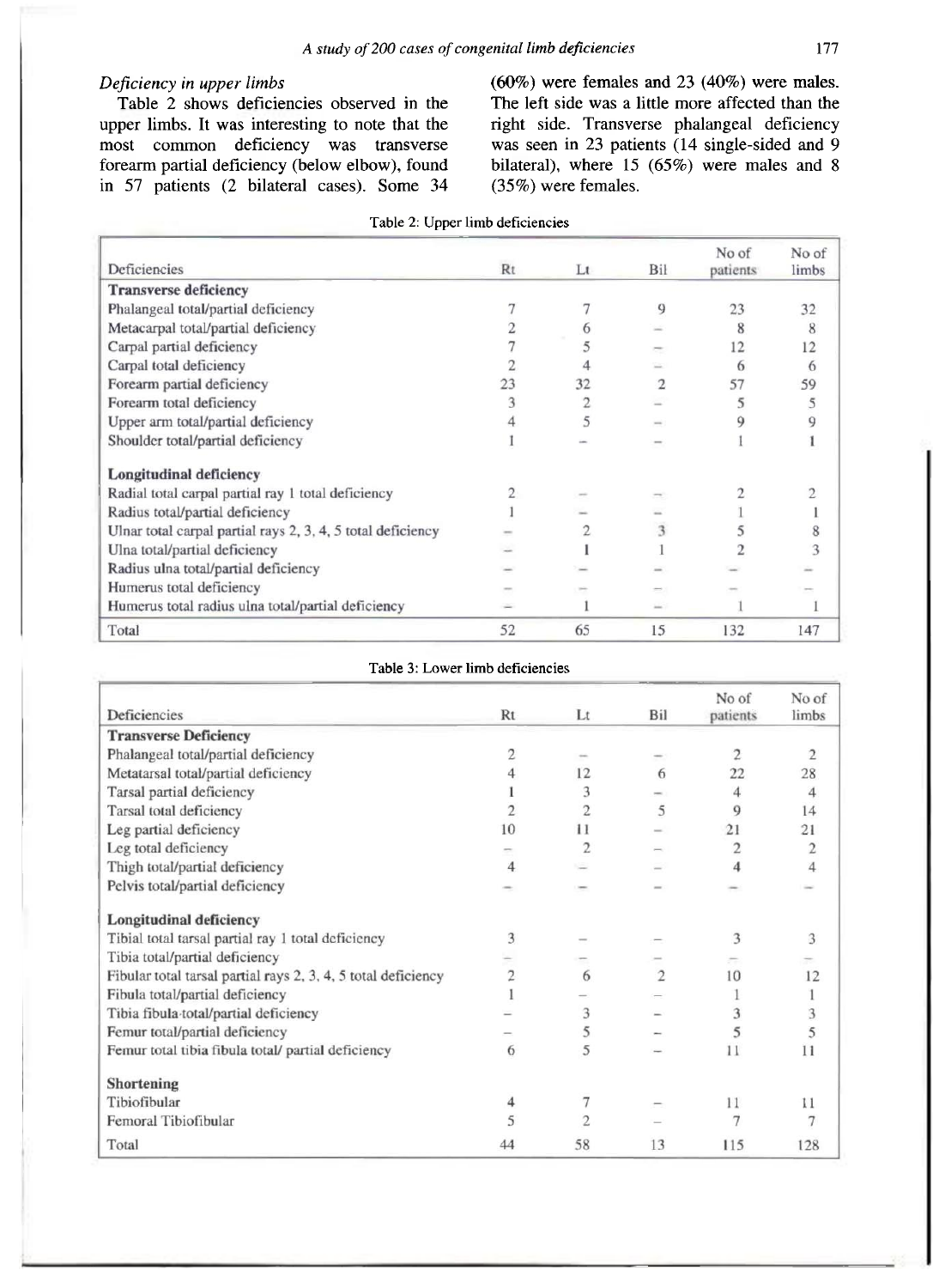## *Deficiency in upper limbs*

Table 2 shows deficiencies observed in the upper limbs. It was interesting to note that the most common deficiency was transverse forearm partial deficiency (below elbow), found in 57 patients (2 bilateral cases). Some 34 (60%) were females and 23 (40%) were males. The left side was a little more affected than the right side. Transverse phalangeal deficiency was seen in 23 patients (14 single-sided and 9 bilateral), where 15 (65%) were males and 8 (35%) were females.

| Deficiencies                                                | Rt | $_{\rm Lt}$ | Bil | No of<br>patients | No of<br>limbs |
|-------------------------------------------------------------|----|-------------|-----|-------------------|----------------|
| <b>Transverse deficiency</b>                                |    |             |     |                   |                |
| Phalangeal total/partial deficiency                         |    |             | 9   | 23                | 32             |
| Metacarpal total/partial deficiency                         |    | 6           |     | 8                 | 8              |
| Carpal partial deficiency                                   |    |             |     | 12                | 12             |
| Carpal total deficiency                                     |    |             |     | 6                 | 6              |
| Forearm partial deficiency                                  | 23 | 32          |     | 57                | 59             |
| Forearm total deficiency                                    |    |             |     | 5                 | 5              |
| Upper arm total/partial deficiency                          |    | 5           |     | 9                 |                |
| Shoulder total/partial deficiency                           |    |             |     |                   |                |
| <b>Longitudinal deficiency</b>                              |    |             |     |                   |                |
| Radial total carpal partial ray 1 total deficiency          |    |             |     |                   |                |
| Radius total/partial deficiency                             |    |             |     |                   |                |
| Ulnar total carpal partial rays 2, 3, 4, 5 total deficiency |    |             | 3   |                   | 8              |
| Ulna total/partial deficiency                               |    |             |     |                   |                |
| Radius ulna total/partial deficiency                        |    |             |     |                   |                |
| Humerus total deficiency                                    |    |             |     |                   |                |
| Humerus total radius ulna total/partial deficiency          |    |             |     |                   |                |
| Total                                                       | 52 | 65          | 15  | 132               | 147            |

#### Table 3: Lower limb deficiencies

| <b>Deficiencies</b>                                           | Rt             | Lt                       | Bil            | No of          | No of<br>limbs |
|---------------------------------------------------------------|----------------|--------------------------|----------------|----------------|----------------|
|                                                               |                |                          |                | patients       |                |
| <b>Transverse Deficiency</b>                                  |                |                          |                |                |                |
| Phalangeal total/partial deficiency                           | 2              |                          |                | 2              | 2              |
| Metatarsal total/partial deficiency                           |                | 12                       | 6              | 22             | 28             |
| Tarsal partial deficiency                                     |                | 3                        |                | 4              | 4              |
| Tarsal total deficiency                                       | $\overline{c}$ | $\overline{2}$           | 5              | 9              | 14             |
| Leg partial deficiency                                        | 10             | 11                       |                | 21             | 21             |
| Leg total deficiency                                          |                | $\overline{2}$           |                | $\overline{c}$ | $\overline{2}$ |
| Thigh total/partial deficiency                                | 4              |                          |                | 4              | 4              |
| Pelvis total/partial deficiency                               |                |                          |                |                |                |
| <b>Longitudinal deficiency</b>                                |                |                          |                |                |                |
| Tibial total tarsal partial ray 1 total deficiency            | 3              |                          |                | 3              | 3              |
| Tibia total/partial deficiency                                |                |                          |                |                |                |
| Fibular total tarsal partial rays 2, 3, 4, 5 total deficiency | 2              | 6                        | $\overline{2}$ | 10             | 12             |
| Fibula total/partial deficiency                               |                |                          |                |                |                |
| Tibia fibula total/partial deficiency                         |                | 3                        |                | 3              | 3              |
| Femur total/partial deficiency                                |                | 5                        |                | 5              | 5              |
| Femur total tibia fibula total/ partial deficiency            | 6              | 5                        |                | 11             | 11             |
| Shortening                                                    |                |                          |                |                |                |
| Tibiofibular                                                  | 4              |                          |                | 11             | 11             |
| Femoral Tibiofibular                                          |                | $\overline{\mathcal{L}}$ |                | 7              |                |
| Total                                                         | 44             | 58                       | 13             | 115            | 128            |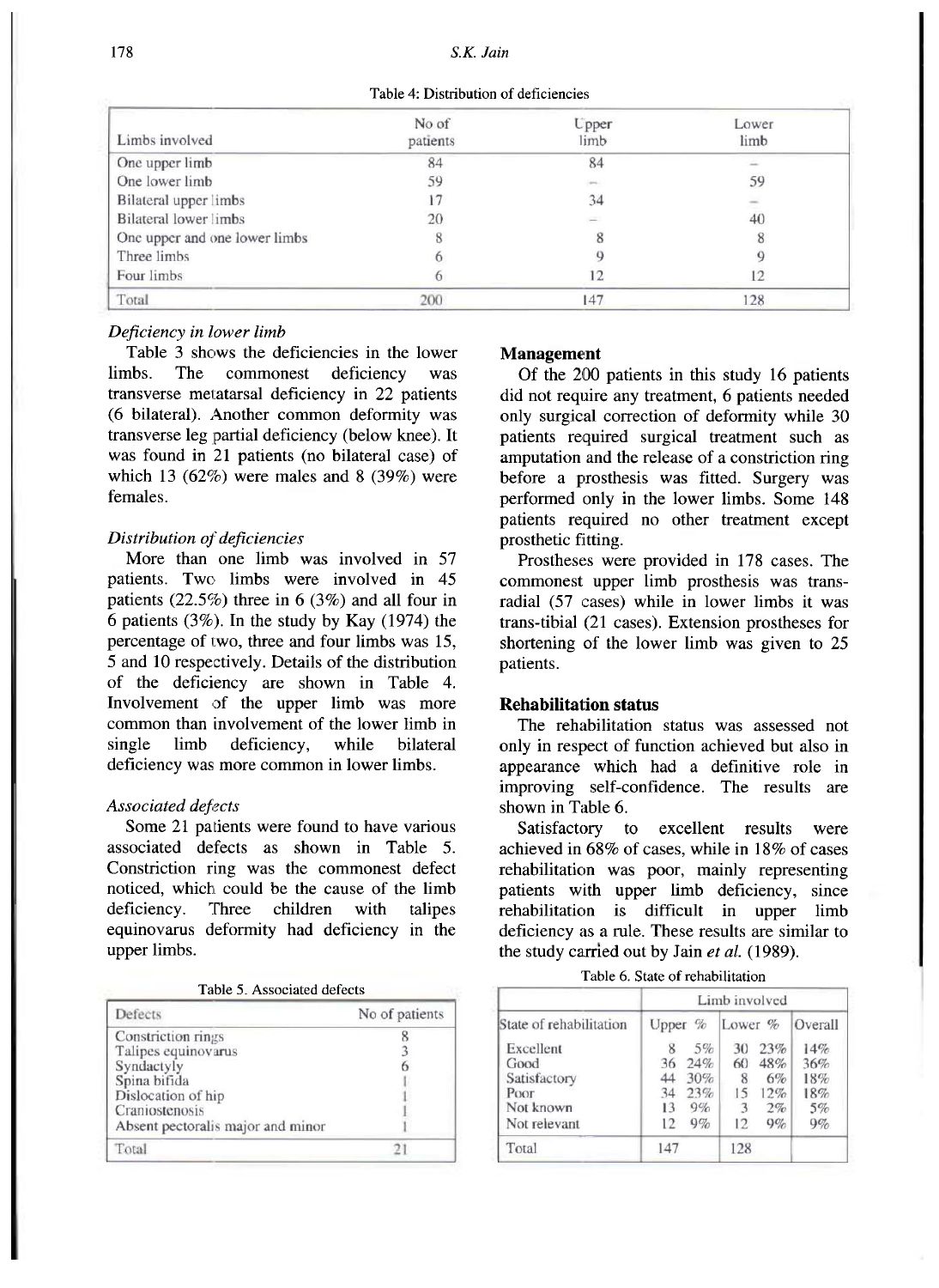#### 178 *S.K. Jain*

| Table 4: Distribution of deficiencies |  |
|---------------------------------------|--|
|---------------------------------------|--|

| Limbs involved                | No of<br>patients | <b>U</b> pper<br>limb | Lower<br>limb |
|-------------------------------|-------------------|-----------------------|---------------|
| One upper limb                | 84                | 84                    |               |
| One lower limb                | 59                | $\frac{1}{2}$         | 59            |
| Bilateral upper limbs         |                   | 34                    |               |
| Bilateral lower limbs         | 20                | ÷                     | 40            |
| One upper and one lower limbs |                   |                       |               |
| Three limbs                   |                   |                       |               |
| Four limbs                    |                   |                       | 12            |
| Total                         | 200               | 147                   | 128           |

#### *Deficiency in lower limb*

Table 3 shows the deficiencies in the lower limbs. The commonest deficiency was transverse metatarsal deficiency in 22 patients (6 bilateral). Another common deformity was transverse leg partial deficiency (below knee). It was found in 21 patients (no bilateral case) of which 13  $(62\%)$  were males and 8  $(39\%)$  were females.

#### *Distribution of deficiencies*

More than one limb was involved in 57 patients. Two limbs were involved in 45 patients (22.5%) three in 6 (3%) and all four in 6 patients (3%). In the study by Kay (1974) the percentage of two, three and four limbs was 15, 5 and 10 respectively. Details of the distribution of the deficiency are shown in Table 4. Involvement of the upper limb was more common than involvement of the lower limb in single limb deficiency, while bilateral deficiency was more common in lower limbs.

#### *Associated defects*

Some 21 patients were found to have various associated defects as shown in Table 5. Constriction ring was the commonest defect noticed, which could be the cause of the limb deficiency. Three children with talipes equinovarus deformity had deficiency in the upper limbs.

| Table 5. Associated defects |
|-----------------------------|
|-----------------------------|

| Defects                           | No of patients |
|-----------------------------------|----------------|
| Constriction rings                |                |
| Talipes equinovarus               |                |
| Syndactyly                        |                |
| Spina bifida                      |                |
| Dislocation of hip                |                |
| Craniostenosis                    |                |
| Absent pectoralis major and minor |                |
| Total                             |                |

#### **Management**

Of the 200 patients in this study 16 patients did not require any treatment, 6 patients needed only surgical correction of deformity while 30 patients required surgical treatment such as amputation and the release of a constriction ring before a prosthesis was fitted. Surgery was performed only in the lower limbs. Some 148 patients required no other treatment except prosthetic fitting.

Prostheses were provided in 178 cases. The commonest upper limb prosthesis was transradial (57 cases) while in lower limbs it was trans-tibial (21 cases). Extension prostheses for shortening of the lower limb was given to 25 patients.

#### **Rehabilitation status**

The rehabilitation status was assessed not only in respect of function achieved but also in appearance which had a definitive role in improving self-confidence. The results are shown in Table 6.

Satisfactory to excellent results were achieved in 68% of cases, while in 18% of cases rehabilitation was poor, mainly representing patients with upper limb deficiency, since rehabilitation is difficult in upper limb deficiency as a rule. These results are similar to the study carried out by Jain et al. (1989).

| Table 6. State of rehabilitation |  |
|----------------------------------|--|
|----------------------------------|--|

|                         | Limb involved |       |            |        |         |  |
|-------------------------|---------------|-------|------------|--------|---------|--|
| State of rehabilitation | Upper $\%$    |       | Lower $\%$ |        | Overall |  |
| Excellent               | 8             | $5\%$ | 30         | 23%    | 14%     |  |
| Good                    | 36            | 24%   |            | 60 48% | 36%     |  |
| Satisfactory            | 44            | 30%   | 8          | 6%     | 18%     |  |
| Poor                    | 34            | 23%   | 15         | 12%    | 18%     |  |
| Not known               | 13            | 9%    | 3          | 2%     | 5%      |  |
| Not relevant            | 12            | $9\%$ | 12.        | 9%     | 9%      |  |
| Total                   | 147           |       | 128        |        |         |  |